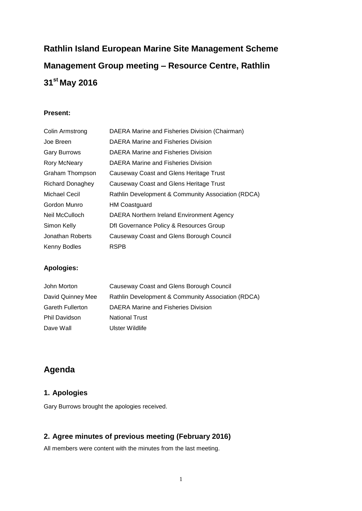# **Rathlin Island European Marine Site Management Scheme Management Group meeting – Resource Centre, Rathlin 31st May 2016**

### **Present:**

| Colin Armstrong         | DAERA Marine and Fisheries Division (Chairman)     |
|-------------------------|----------------------------------------------------|
| Joe Breen               | DAERA Marine and Fisheries Division                |
| <b>Gary Burrows</b>     | DAERA Marine and Fisheries Division                |
| Rory McNeary            | DAERA Marine and Fisheries Division                |
| <b>Graham Thompson</b>  | Causeway Coast and Glens Heritage Trust            |
| <b>Richard Donaghey</b> | Causeway Coast and Glens Heritage Trust            |
| <b>Michael Cecil</b>    | Rathlin Development & Community Association (RDCA) |
| Gordon Munro            | HM Coastguard                                      |
| Neil McCulloch          | DAERA Northern Ireland Environment Agency          |
| Simon Kelly             | Dfl Governance Policy & Resources Group            |
| Jonathan Roberts        | Causeway Coast and Glens Borough Council           |
| Kenny Bodles            | <b>RSPB</b>                                        |

### **Apologies:**

| John Morton             | Causeway Coast and Glens Borough Council           |
|-------------------------|----------------------------------------------------|
| David Quinney Mee       | Rathlin Development & Community Association (RDCA) |
| <b>Gareth Fullerton</b> | DAERA Marine and Fisheries Division                |
| <b>Phil Davidson</b>    | <b>National Trust</b>                              |
| Dave Wall               | Ulster Wildlife                                    |

## **Agenda**

### **1. Apologies**

Gary Burrows brought the apologies received.

### **2. Agree minutes of previous meeting (February 2016)**

All members were content with the minutes from the last meeting.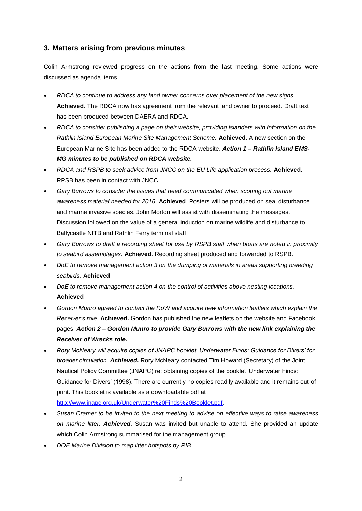### **3. Matters arising from previous minutes**

Colin Armstrong reviewed progress on the actions from the last meeting. Some actions were discussed as agenda items.

- *RDCA to continue to address any land owner concerns over placement of the new signs.*  **Achieved**. The RDCA now has agreement from the relevant land owner to proceed. Draft text has been produced between DAERA and RDCA.
- *RDCA to consider publishing a page on their website, providing islanders with information on the Rathlin Island European Marine Site Management Scheme.* **Achieved.** A new section on the European Marine Site has been added to the RDCA website. *Action 1 – Rathlin Island EMS-MG minutes to be published on RDCA website.*
- *RDCA and RSPB to seek advice from JNCC on the EU Life application process.* **Achieved**. RPSB has been in contact with JNCC.
- *Gary Burrows to consider the issues that need communicated when scoping out marine awareness material needed for 2016.* **Achieved**. Posters will be produced on seal disturbance and marine invasive species. John Morton will assist with disseminating the messages. Discussion followed on the value of a general induction on marine wildlife and disturbance to Ballycastle NITB and Rathlin Ferry terminal staff.
- *Gary Burrows to draft a recording sheet for use by RSPB staff when boats are noted in proximity to seabird assemblages.* **Achieved**. Recording sheet produced and forwarded to RSPB.
- *DoE to remove management action 3 on the dumping of materials in areas supporting breeding seabirds.* **Achieved**
- *DoE to remove management action 4 on the control of activities above nesting locations.* **Achieved**
- *Gordon Munro agreed to contact the RoW and acquire new information leaflets which explain the Receiver's role.* **Achieved.** Gordon has published the new leaflets on the website and Facebook pages. *Action 2 – Gordon Munro to provide Gary Burrows with the new link explaining the Receiver of Wrecks role.*
- *Rory McNeary will acquire copies of JNAPC booklet 'Underwater Finds: Guidance for Divers' for broader circulation. Achieved.* Rory McNeary contacted Tim Howard (Secretary) of the Joint Nautical Policy Committee (JNAPC) re: obtaining copies of the booklet 'Underwater Finds: Guidance for Divers' (1998). There are currently no copies readily available and it remains out-ofprint. This booklet is available as a downloadable pdf at

[http://www.jnapc.org.uk/Underwater%20Finds%20Booklet.pdf.](http://www.jnapc.org.uk/Underwater%20Finds%20Booklet.pdf)

- *Susan Cramer to be invited to the next meeting to advise on effective ways to raise awareness on marine litter. Achieved.* Susan was invited but unable to attend. She provided an update which Colin Armstrong summarised for the management group.
- *DOE Marine Division to map litter hotspots by RIB.*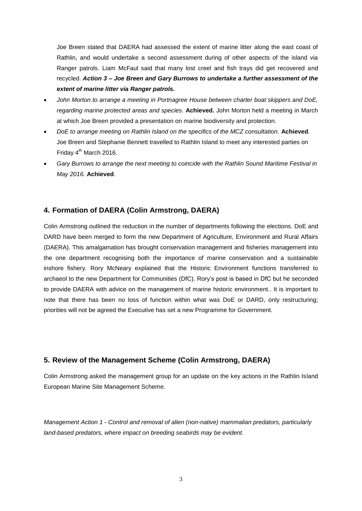Joe Breen stated that DAERA had assessed the extent of marine litter along the east coast of Rathlin, and would undertake a second assessment during of other aspects of the island via Ranger patrols. Liam McFaul said that many lost creel and fish trays did get recovered and recycled. *Action 3 – Joe Breen and Gary Burrows to undertake a further assessment of the extent of marine litter via Ranger patrols.*

- *John Morton to arrange a meeting in Portnagree House between charter boat skippers and DoE, regarding marine protected areas and species.* **Achieved.** John Morton held a meeting in March at which Joe Breen provided a presentation on marine biodiversity and protection.
- *DoE to arrange meeting on Rathlin Island on the specifics of the MCZ consultation.* **Achieved***.* Joe Breen and Stephanie Bennett travelled to Rathlin Island to meet any interested parties on Friday  $4<sup>th</sup>$  March 2016.
- *Gary Burrows to arrange the next meeting to coincide with the Rathlin Sound Maritime Festival in May 2016.* **Achieved***.*

### **4. Formation of DAERA (Colin Armstrong, DAERA)**

Colin Armstrong outlined the reduction in the number of departments following the elections. DoE and DARD have been merged to form the new Department of Agriculture, Environment and Rural Affairs (DAERA). This amalgamation has brought conservation management and fisheries management into the one department recognising both the importance of marine conservation and a sustainable inshore fishery. Rory McNeary explained that the Historic Environment functions transferred to archaeol to the new Department for Communities (DfC). Rory's post is based in DfC but he seconded to provide DAERA with advice on the management of marine historic environment.. It is important to note that there has been no loss of function within what was DoE or DARD, only restructuring; priorities will not be agreed the Executive has set a new Programme for Government.

### **5. Review of the Management Scheme (Colin Armstrong, DAERA)**

Colin Armstrong asked the management group for an update on the key actions in the Rathlin Island European Marine Site Management Scheme.

*Management Action 1 - Control and removal of alien (non-native) mammalian predators, particularly land-based predators, where impact on breeding seabirds may be evident.*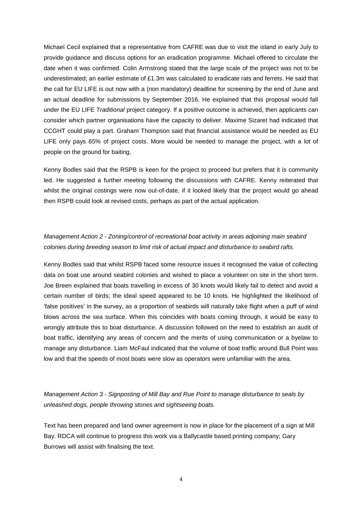Michael Cecil explained that a representative from CAFRE was due to visit the island in early July to provide guidance and discuss options for an eradication programme. Michael offered to circulate the date when it was confirmed. Colin Armstrong stated that the large scale of the project was not to be underestimated; an earlier estimate of £1.3m was calculated to eradicate rats and ferrets. He said that the call for EU LIFE is out now with a (non mandatory) deadline for screening by the end of June and an actual deadline for submissions by September 2016. He explained that this proposal would fall under the EU LIFE *Traditional* project category. If a positive outcome is achieved, then applicants can consider which partner organisations have the capacity to deliver. Maxime Sizaret had indicated that CCGHT could play a part. Graham Thompson said that financial assistance would be needed as EU LIFE only pays 65% of project costs. More would be needed to manage the project, with a lot of people on the ground for baiting.

Kenny Bodles said that the RSPB is keen for the project to proceed but prefers that it is community led. He suggested a further meeting following the discussions with CAFRE. Kenny reiterated that whilst the original costings were now out-of-date, if it looked likely that the project would go ahead then RSPB could look at revised costs, perhaps as part of the actual application.

### *Management Action 2 - Zoning/control of recreational boat activity in areas adjoining main seabird colonies during breeding season to limit risk of actual impact and disturbance to seabird rafts.*

Kenny Bodles said that whilst RSPB faced some resource issues it recognised the value of collecting data on boat use around seabird colonies and wished to place a volunteer on site in the short term. Joe Breen explained that boats travelling in excess of 30 knots would likely fail to detect and avoid a certain number of birds; the ideal speed appeared to be 10 knots. He highlighted the likelihood of 'false positives' in the survey, as a proportion of seabirds will naturally take flight when a puff of wind blows across the sea surface. When this coincides with boats coming through, it would be easy to wrongly attribute this to boat disturbance. A discussion followed on the need to establish an audit of boat traffic, identifying any areas of concern and the merits of using communication or a byelaw to manage any disturbance. Liam McFaul indicated that the volume of boat traffic around Bull Point was low and that the speeds of most boats were slow as operators were unfamiliar with the area.

*Management Action 3 - Signposting of Mill Bay and Rue Point to manage disturbance to seals by unleashed dogs, people throwing stones and sightseeing boats.*

Text has been prepared and land owner agreement is now in place for the placement of a sign at Mill Bay. RDCA will continue to progress this work via a Ballycastle based printing company; Gary Burrows will assist with finalising the text.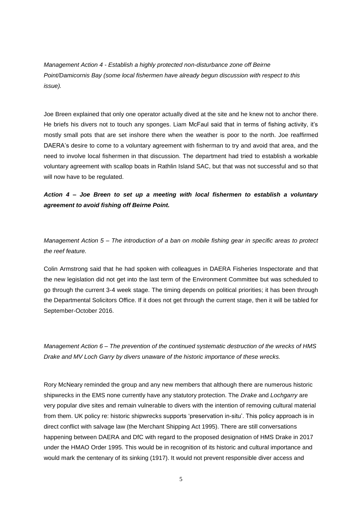*Management Action 4 - Establish a highly protected non-disturbance zone off Beirne Point/Damicornis Bay (some local fishermen have already begun discussion with respect to this issue).*

Joe Breen explained that only one operator actually dived at the site and he knew not to anchor there. He briefs his divers not to touch any sponges. Liam McFaul said that in terms of fishing activity, it's mostly small pots that are set inshore there when the weather is poor to the north. Joe reaffirmed DAERA's desire to come to a voluntary agreement with fisherman to try and avoid that area, and the need to involve local fishermen in that discussion. The department had tried to establish a workable voluntary agreement with scallop boats in Rathlin Island SAC, but that was not successful and so that will now have to be regulated.

### *Action 4 – Joe Breen to set up a meeting with local fishermen to establish a voluntary agreement to avoid fishing off Beirne Point.*

*Management Action 5 – The introduction of a ban on mobile fishing gear in specific areas to protect the reef feature.*

Colin Armstrong said that he had spoken with colleagues in DAERA Fisheries Inspectorate and that the new legislation did not get into the last term of the Environment Committee but was scheduled to go through the current 3-4 week stage. The timing depends on political priorities; it has been through the Departmental Solicitors Office. If it does not get through the current stage, then it will be tabled for September-October 2016.

*Management Action 6 – The prevention of the continued systematic destruction of the wrecks of HMS Drake and MV Loch Garry by divers unaware of the historic importance of these wrecks.*

Rory McNeary reminded the group and any new members that although there are numerous historic shipwrecks in the EMS none currently have any statutory protection. The *Drake* and *Lochgarry* are very popular dive sites and remain vulnerable to divers with the intention of removing cultural material from them. UK policy re: historic shipwrecks supports 'preservation in-situ'. This policy approach is in direct conflict with salvage law (the Merchant Shipping Act 1995). There are still conversations happening between DAERA and DfC with regard to the proposed designation of HMS Drake in 2017 under the HMAO Order 1995. This would be in recognition of its historic and cultural importance and would mark the centenary of its sinking (1917). It would not prevent responsible diver access and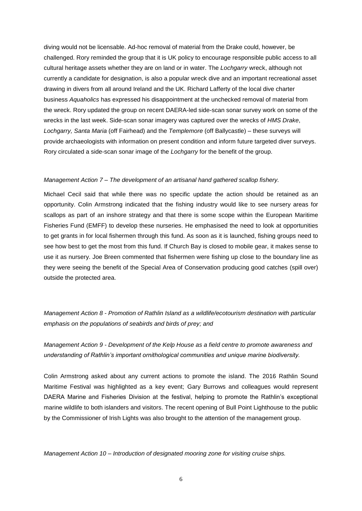diving would not be licensable. Ad-hoc removal of material from the Drake could, however, be challenged. Rory reminded the group that it is UK policy to encourage responsible public access to all cultural heritage assets whether they are on land or in water. The *Lochgarry* wreck, although not currently a candidate for designation, is also a popular wreck dive and an important recreational asset drawing in divers from all around Ireland and the UK. Richard Lafferty of the local dive charter business *Aquaholics* has expressed his disappointment at the unchecked removal of material from the wreck. Rory updated the group on recent DAERA-led side-scan sonar survey work on some of the wrecks in the last week. Side-scan sonar imagery was captured over the wrecks of *HMS Drake*, *Lochgarry, Santa Maria* (off Fairhead) and the *Templemore* (off Ballycastle) – these surveys will provide archaeologists with information on present condition and inform future targeted diver surveys. Rory circulated a side-scan sonar image of the *Lochgarry* for the benefit of the group.

#### *Management Action 7 – The development of an artisanal hand gathered scallop fishery.*

Michael Cecil said that while there was no specific update the action should be retained as an opportunity. Colin Armstrong indicated that the fishing industry would like to see nursery areas for scallops as part of an inshore strategy and that there is some scope within the European Maritime Fisheries Fund (EMFF) to develop these nurseries. He emphasised the need to look at opportunities to get grants in for local fishermen through this fund. As soon as it is launched, fishing groups need to see how best to get the most from this fund. If Church Bay is closed to mobile gear, it makes sense to use it as nursery. Joe Breen commented that fishermen were fishing up close to the boundary line as they were seeing the benefit of the Special Area of Conservation producing good catches (spill over) outside the protected area.

*Management Action 8 - Promotion of Rathlin Island as a wildlife/ecotourism destination with particular emphasis on the populations of seabirds and birds of prey; and*

*Management Action 9 - Development of the Kelp House as a field centre to promote awareness and understanding of Rathlin's important ornithological communities and unique marine biodiversity.*

Colin Armstrong asked about any current actions to promote the island. The 2016 Rathlin Sound Maritime Festival was highlighted as a key event; Gary Burrows and colleagues would represent DAERA Marine and Fisheries Division at the festival, helping to promote the Rathlin's exceptional marine wildlife to both islanders and visitors. The recent opening of Bull Point Lighthouse to the public by the Commissioner of Irish Lights was also brought to the attention of the management group.

*Management Action 10 – Introduction of designated mooring zone for visiting cruise ships.*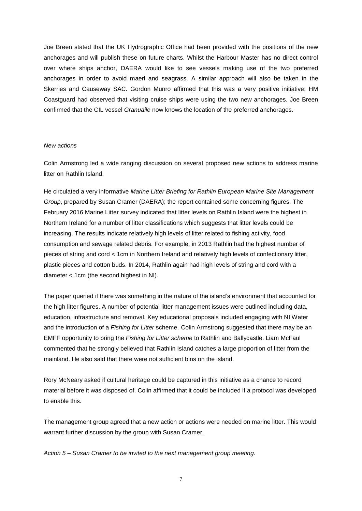Joe Breen stated that the UK Hydrographic Office had been provided with the positions of the new anchorages and will publish these on future charts. Whilst the Harbour Master has no direct control over where ships anchor, DAERA would like to see vessels making use of the two preferred anchorages in order to avoid maerl and seagrass. A similar approach will also be taken in the Skerries and Causeway SAC. Gordon Munro affirmed that this was a very positive initiative; HM Coastguard had observed that visiting cruise ships were using the two new anchorages. Joe Breen confirmed that the CIL vessel *Granuaile* now knows the location of the preferred anchorages.

#### *New actions*

Colin Armstrong led a wide ranging discussion on several proposed new actions to address marine litter on Rathlin Island.

He circulated a very informative *Marine Litter Briefing for Rathlin European Marine Site Management Group*, prepared by Susan Cramer (DAERA); the report contained some concerning figures. The February 2016 Marine Litter survey indicated that litter levels on Rathlin Island were the highest in Northern Ireland for a number of litter classifications which suggests that litter levels could be increasing. The results indicate relatively high levels of litter related to fishing activity, food consumption and sewage related debris. For example, in 2013 Rathlin had the highest number of pieces of string and cord < 1cm in Northern Ireland and relatively high levels of confectionary litter, plastic pieces and cotton buds. In 2014, Rathlin again had high levels of string and cord with a diameter < 1cm (the second highest in NI).

The paper queried if there was something in the nature of the island's environment that accounted for the high litter figures. A number of potential litter management issues were outlined including data, education, infrastructure and removal. Key educational proposals included engaging with NI Water and the introduction of a *Fishing for Litter* scheme. Colin Armstrong suggested that there may be an EMFF opportunity to bring the *Fishing for Litter scheme* to Rathlin and Ballycastle. Liam McFaul commented that he strongly believed that Rathlin Island catches a large proportion of litter from the mainland. He also said that there were not sufficient bins on the island.

Rory McNeary asked if cultural heritage could be captured in this initiative as a chance to record material before it was disposed of. Colin affirmed that it could be included if a protocol was developed to enable this.

The management group agreed that a new action or actions were needed on marine litter. This would warrant further discussion by the group with Susan Cramer.

*Action 5 – Susan Cramer to be invited to the next management group meeting.*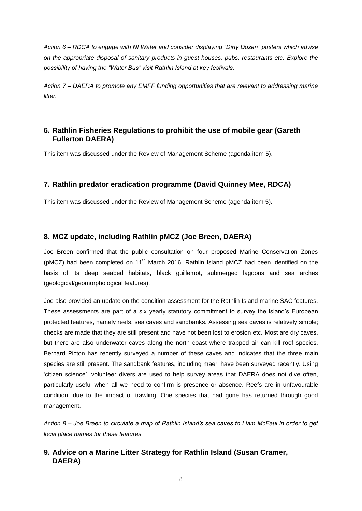*Action 6 – RDCA to engage with NI Water and consider displaying "Dirty Dozen" posters which advise on the appropriate disposal of sanitary products in guest houses, pubs, restaurants etc. Explore the possibility of having the "Water Bus" visit Rathlin Island at key festivals.*

*Action 7 – DAERA to promote any EMFF funding opportunities that are relevant to addressing marine litter.*

### **6. Rathlin Fisheries Regulations to prohibit the use of mobile gear (Gareth Fullerton DAERA)**

This item was discussed under the Review of Management Scheme (agenda item 5).

### **7. Rathlin predator eradication programme (David Quinney Mee, RDCA)**

This item was discussed under the Review of Management Scheme (agenda item 5).

### **8. MCZ update, including Rathlin pMCZ (Joe Breen, DAERA)**

Joe Breen confirmed that the public consultation on four proposed Marine Conservation Zones (pMCZ) had been completed on 11<sup>th</sup> March 2016. Rathlin Island pMCZ had been identified on the basis of its deep seabed habitats, black guillemot, submerged lagoons and sea arches (geological/geomorphological features).

Joe also provided an update on the condition assessment for the Rathlin Island marine SAC features. These assessments are part of a six yearly statutory commitment to survey the island's European protected features, namely reefs, sea caves and sandbanks. Assessing sea caves is relatively simple; checks are made that they are still present and have not been lost to erosion etc. Most are dry caves, but there are also underwater caves along the north coast where trapped air can kill roof species. Bernard Picton has recently surveyed a number of these caves and indicates that the three main species are still present. The sandbank features, including maerl have been surveyed recently. Using 'citizen science', volunteer divers are used to help survey areas that DAERA does not dive often, particularly useful when all we need to confirm is presence or absence. Reefs are in unfavourable condition, due to the impact of trawling. One species that had gone has returned through good management.

*Action 8 – Joe Breen to circulate a map of Rathlin Island's sea caves to Liam McFaul in order to get local place names for these features.*

### **9. Advice on a Marine Litter Strategy for Rathlin Island (Susan Cramer, DAERA)**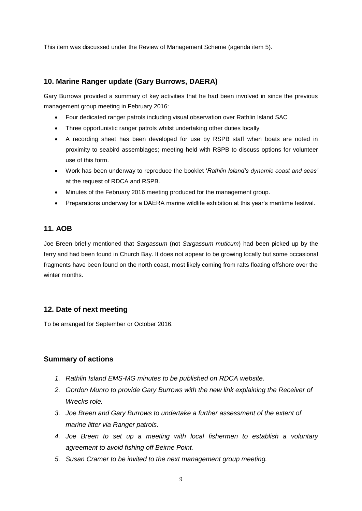This item was discussed under the Review of Management Scheme (agenda item 5).

### **10. Marine Ranger update (Gary Burrows, DAERA)**

Gary Burrows provided a summary of key activities that he had been involved in since the previous management group meeting in February 2016:

- Four dedicated ranger patrols including visual observation over Rathlin Island SAC
- Three opportunistic ranger patrols whilst undertaking other duties locally
- A recording sheet has been developed for use by RSPB staff when boats are noted in proximity to seabird assemblages; meeting held with RSPB to discuss options for volunteer use of this form.
- Work has been underway to reproduce the booklet '*Rathlin Island's dynamic coast and seas'* at the request of RDCA and RSPB.
- Minutes of the February 2016 meeting produced for the management group.
- Preparations underway for a DAERA marine wildlife exhibition at this year's maritime festival.

### **11. AOB**

Joe Breen briefly mentioned that *Sargassum* (not *Sargassum muticum*) had been picked up by the ferry and had been found in Church Bay. It does not appear to be growing locally but some occasional fragments have been found on the north coast, most likely coming from rafts floating offshore over the winter months.

### **12. Date of next meeting**

To be arranged for September or October 2016.

### **Summary of actions**

- *1. Rathlin Island EMS-MG minutes to be published on RDCA website.*
- *2. Gordon Munro to provide Gary Burrows with the new link explaining the Receiver of Wrecks role.*
- *3. Joe Breen and Gary Burrows to undertake a further assessment of the extent of marine litter via Ranger patrols.*
- *4. Joe Breen to set up a meeting with local fishermen to establish a voluntary agreement to avoid fishing off Beirne Point.*
- *5. Susan Cramer to be invited to the next management group meeting.*